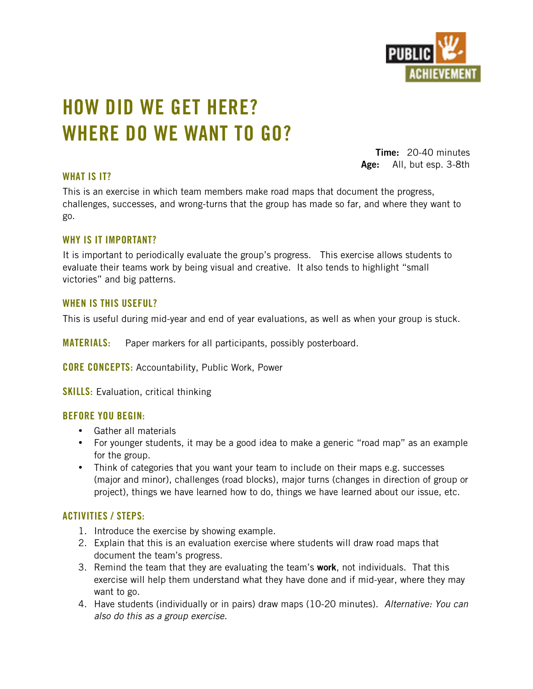

# **HOW DID WE GET HERE? WHERE DO WE WANT TO GO?**

**Time:** 20-40 minutes **Age:** All, but esp. 3-8th

## **WHAT IS IT?**

This is an exercise in which team members make road maps that document the progress, challenges, successes, and wrong-turns that the group has made so far, and where they want to go.

### **WHY IS IT IMPORTANT?**

It is important to periodically evaluate the group's progress. This exercise allows students to evaluate their teams work by being visual and creative. It also tends to highlight "small victories" and big patterns.

### **WHEN IS THIS USEFUL?**

This is useful during mid-year and end of year evaluations, as well as when your group is stuck.

**MATERIALS:** Paper markers for all participants, possibly posterboard.

**CORE CONCEPTS:** Accountability, Public Work, Power

**SKILLS:** Evaluation, critical thinking

### **BEFORE YOU BEGIN:**

Gather all materials

For younger students, it may be a good idea to make a generic "road map" as an example for the group.

Think of categories that you want your team to include on their maps e.g. successes (major and minor), challenges (road blocks), major turns (changes in direction of group or project), things we have learned how to do, things we have learned about our issue, etc.

### **ACTIVITIES / STEPS:**

- 1. Introduce the exercise by showing example.
- 2. Explain that this is an evaluation exercise where students will draw road maps that document the team's progress.
- 3. Remind the team that they are evaluating the team's **work**, not individuals. That this exercise will help them understand what they have done and if mid-year, where they may want to go.
- 4. Have students (individually or in pairs) draw maps (10-20 minutes). *Alternative: You can also do this as a group exercise.*